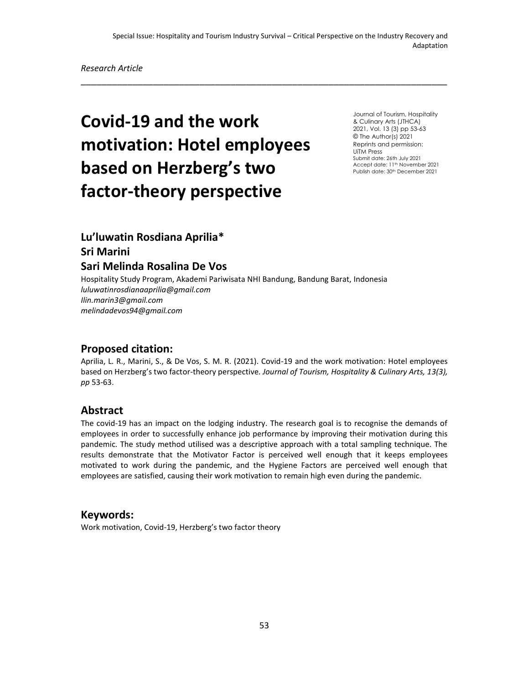\_\_\_\_\_\_\_\_\_\_\_\_\_\_\_\_\_\_\_\_\_\_\_\_\_\_\_\_\_\_\_\_\_\_\_\_\_\_\_\_\_\_\_\_\_\_\_\_\_\_\_\_\_\_\_\_\_\_\_\_\_\_\_\_\_\_\_\_\_\_\_

# **Covid-19 and the work motivation: Hotel employees based on Herzberg's two factor-theory perspective**

Journal of Tourism, Hospitality & Culinary Arts (JTHCA) 2021, Vol. 13 (3) pp 53-63 © The Author(s) 2021 Reprints and permission: UiTM Press Submit date: 26th July 2021 Accept date: 11<sup>th</sup> November 2021 Publish date: 30<sup>th</sup> December 2021

# **Lu'luwatin Rosdiana Aprilia\* Sri Marini Sari Melinda Rosalina De Vos**

Hospitality Study Program, Akademi Pariwisata NHI Bandung, Bandung Barat, Indonesia *luluwatinrosdianaaprilia@gmail.com Ilin.marin3@gmail.com melindadevos94@gmail.com*

# **Proposed citation:**

Aprilia, L. R., Marini, S., & De Vos, S. M. R. (2021). Covid-19 and the work motivation: Hotel employees based on Herzberg's two factor-theory perspective*. Journal of Tourism, Hospitality & Culinary Arts, 13(3), pp* 53-63.

## **Abstract**

The covid-19 has an impact on the lodging industry. The research goal is to recognise the demands of employees in order to successfully enhance job performance by improving their motivation during this pandemic. The study method utilised was a descriptive approach with a total sampling technique. The results demonstrate that the Motivator Factor is perceived well enough that it keeps employees motivated to work during the pandemic, and the Hygiene Factors are perceived well enough that employees are satisfied, causing their work motivation to remain high even during the pandemic.

## **Keywords:**

Work motivation, Covid-19, Herzberg's two factor theory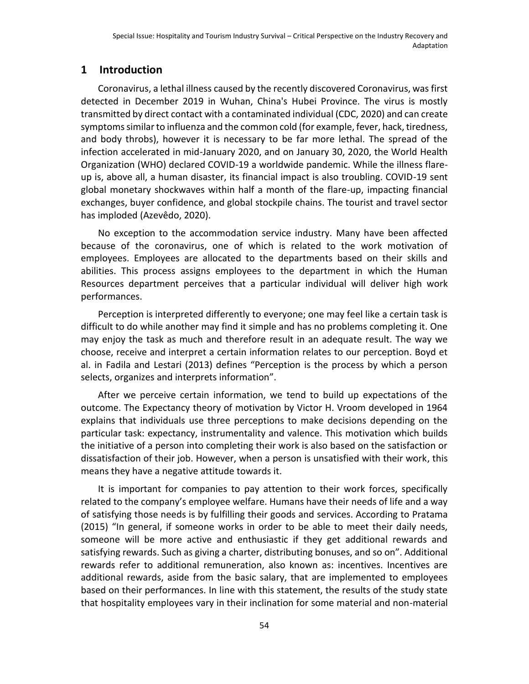# **1 Introduction**

Coronavirus, a lethal illness caused by the recently discovered Coronavirus, was first detected in December 2019 in Wuhan, China's Hubei Province. The virus is mostly transmitted by direct contact with a contaminated individual (CDC, 2020) and can create symptoms similar to influenza and the common cold (for example, fever, hack, tiredness, and body throbs), however it is necessary to be far more lethal. The spread of the infection accelerated in mid-January 2020, and on January 30, 2020, the World Health Organization (WHO) declared COVID-19 a worldwide pandemic. While the illness flareup is, above all, a human disaster, its financial impact is also troubling. COVID-19 sent global monetary shockwaves within half a month of the flare-up, impacting financial exchanges, buyer confidence, and global stockpile chains. The tourist and travel sector has imploded (Azevêdo, 2020).

No exception to the accommodation service industry. Many have been affected because of the coronavirus, one of which is related to the work motivation of employees. Employees are allocated to the departments based on their skills and abilities. This process assigns employees to the department in which the Human Resources department perceives that a particular individual will deliver high work performances.

Perception is interpreted differently to everyone; one may feel like a certain task is difficult to do while another may find it simple and has no problems completing it. One may enjoy the task as much and therefore result in an adequate result. The way we choose, receive and interpret a certain information relates to our perception. Boyd et al. in Fadila and Lestari (2013) defines "Perception is the process by which a person selects, organizes and interprets information".

After we perceive certain information, we tend to build up expectations of the outcome. The Expectancy theory of motivation by Victor H. Vroom developed in 1964 explains that individuals use three perceptions to make decisions depending on the particular task: expectancy, instrumentality and valence. This motivation which builds the initiative of a person into completing their work is also based on the satisfaction or dissatisfaction of their job. However, when a person is unsatisfied with their work, this means they have a negative attitude towards it.

It is important for companies to pay attention to their work forces, specifically related to the company's employee welfare. Humans have their needs of life and a way of satisfying those needs is by fulfilling their goods and services. According to Pratama (2015) "In general, if someone works in order to be able to meet their daily needs, someone will be more active and enthusiastic if they get additional rewards and satisfying rewards. Such as giving a charter, distributing bonuses, and so on". Additional rewards refer to additional remuneration, also known as: incentives. Incentives are additional rewards, aside from the basic salary, that are implemented to employees based on their performances. In line with this statement, the results of the study state that hospitality employees vary in their inclination for some material and non-material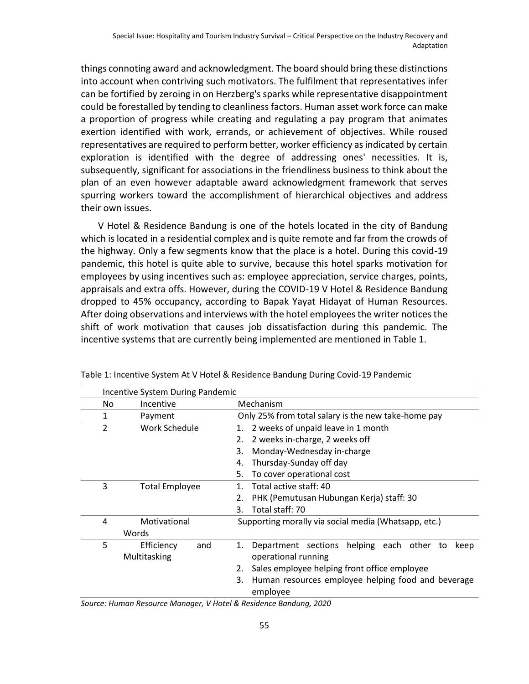things connoting award and acknowledgment. The board should bring these distinctions into account when contriving such motivators. The fulfilment that representatives infer can be fortified by zeroing in on Herzberg's sparks while representative disappointment could be forestalled by tending to cleanliness factors. Human asset work force can make a proportion of progress while creating and regulating a pay program that animates exertion identified with work, errands, or achievement of objectives. While roused representatives are required to perform better, worker efficiency as indicated by certain exploration is identified with the degree of addressing ones' necessities. It is, subsequently, significant for associations in the friendliness business to think about the plan of an even however adaptable award acknowledgment framework that serves spurring workers toward the accomplishment of hierarchical objectives and address their own issues.

V Hotel & Residence Bandung is one of the hotels located in the city of Bandung which is located in a residential complex and is quite remote and far from the crowds of the highway. Only a few segments know that the place is a hotel. During this covid-19 pandemic, this hotel is quite able to survive, because this hotel sparks motivation for employees by using incentives such as: employee appreciation, service charges, points, appraisals and extra offs. However, during the COVID-19 V Hotel & Residence Bandung dropped to 45% occupancy, according to Bapak Yayat Hidayat of Human Resources. After doing observations and interviews with the hotel employees the writer notices the shift of work motivation that causes job dissatisfaction during this pandemic. The incentive systems that are currently being implemented are mentioned in Table 1.

|                          | Incentive System During Pandemic |                                                                      |  |  |
|--------------------------|----------------------------------|----------------------------------------------------------------------|--|--|
| No.                      | Incentive                        | Mechanism                                                            |  |  |
| 1                        | Payment                          | Only 25% from total salary is the new take-home pay                  |  |  |
| $\overline{\phantom{a}}$ | Work Schedule                    | 2 weeks of unpaid leave in 1 month<br>1.                             |  |  |
|                          |                                  | 2 weeks in-charge, 2 weeks off<br>2.                                 |  |  |
|                          |                                  | Monday-Wednesday in-charge<br>3.                                     |  |  |
|                          |                                  | Thursday-Sunday off day<br>4.                                        |  |  |
|                          |                                  | To cover operational cost<br>5.                                      |  |  |
| 3                        | <b>Total Employee</b>            | Total active staff: 40<br>$\mathbf{1}$ .                             |  |  |
|                          |                                  | PHK (Pemutusan Hubungan Kerja) staff: 30<br>2.                       |  |  |
|                          |                                  | Total staff: 70<br>3.                                                |  |  |
| 4                        | Motivational                     | Supporting morally via social media (Whatsapp, etc.)                 |  |  |
|                          | Words                            |                                                                      |  |  |
| 5                        | Efficiency<br>and                | helping each<br>Department sections<br>other<br>1.<br>to<br>keep     |  |  |
|                          | Multitasking                     | operational running                                                  |  |  |
|                          |                                  | Sales employee helping front office employee<br>2.                   |  |  |
|                          |                                  | Human resources employee helping food and beverage<br>3.<br>employee |  |  |

Table 1: Incentive System At V Hotel & Residence Bandung During Covid-19 Pandemic

*Source: Human Resource Manager, V Hotel & Residence Bandung, 2020*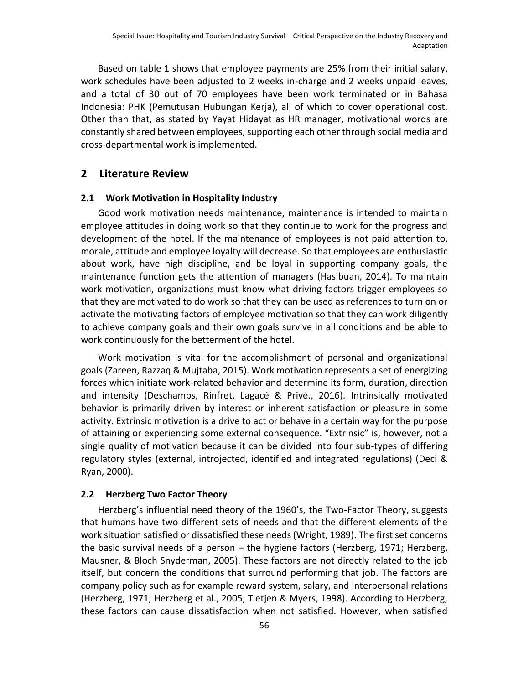Based on table 1 shows that employee payments are 25% from their initial salary, work schedules have been adjusted to 2 weeks in-charge and 2 weeks unpaid leaves, and a total of 30 out of 70 employees have been work terminated or in Bahasa Indonesia: PHK (Pemutusan Hubungan Kerja), all of which to cover operational cost. Other than that, as stated by Yayat Hidayat as HR manager, motivational words are constantly shared between employees, supporting each other through social media and cross-departmental work is implemented.

#### **2 Literature Review**

#### **2.1 Work Motivation in Hospitality Industry**

Good work motivation needs maintenance, maintenance is intended to maintain employee attitudes in doing work so that they continue to work for the progress and development of the hotel. If the maintenance of employees is not paid attention to, morale, attitude and employee loyalty will decrease. So that employees are enthusiastic about work, have high discipline, and be loyal in supporting company goals, the maintenance function gets the attention of managers (Hasibuan, 2014). To maintain work motivation, organizations must know what driving factors trigger employees so that they are motivated to do work so that they can be used as references to turn on or activate the motivating factors of employee motivation so that they can work diligently to achieve company goals and their own goals survive in all conditions and be able to work continuously for the betterment of the hotel.

Work motivation is vital for the accomplishment of personal and organizational goals (Zareen, Razzaq & Mujtaba, 2015). Work motivation represents a set of energizing forces which initiate work-related behavior and determine its form, duration, direction and intensity (Deschamps, Rinfret, Lagacé & Privé., 2016). Intrinsically motivated behavior is primarily driven by interest or inherent satisfaction or pleasure in some activity. Extrinsic motivation is a drive to act or behave in a certain way for the purpose of attaining or experiencing some external consequence. "Extrinsic" is, however, not a single quality of motivation because it can be divided into four sub-types of differing regulatory styles (external, introjected, identified and integrated regulations) (Deci & Ryan, 2000).

#### **2.2 Herzberg Two Factor Theory**

Herzberg's influential need theory of the 1960's, the Two-Factor Theory, suggests that humans have two different sets of needs and that the different elements of the work situation satisfied or dissatisfied these needs (Wright, 1989). The first set concerns the basic survival needs of a person – the hygiene factors (Herzberg, 1971; Herzberg, Mausner, & Bloch Snyderman, 2005). These factors are not directly related to the job itself, but concern the conditions that surround performing that job. The factors are company policy such as for example reward system, salary, and interpersonal relations (Herzberg, 1971; Herzberg et al., 2005; Tietjen & Myers, 1998). According to Herzberg, these factors can cause dissatisfaction when not satisfied. However, when satisfied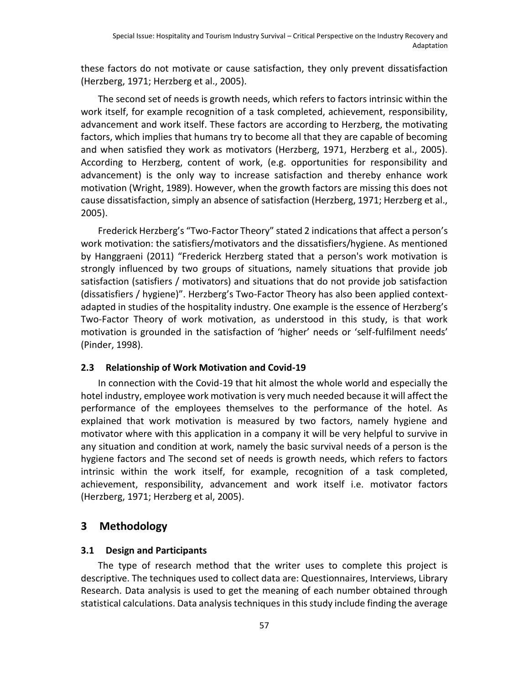these factors do not motivate or cause satisfaction, they only prevent dissatisfaction (Herzberg, 1971; Herzberg et al., 2005).

The second set of needs is growth needs, which refers to factors intrinsic within the work itself, for example recognition of a task completed, achievement, responsibility, advancement and work itself. These factors are according to Herzberg, the motivating factors, which implies that humans try to become all that they are capable of becoming and when satisfied they work as motivators (Herzberg, 1971, Herzberg et al., 2005). According to Herzberg, content of work, (e.g. opportunities for responsibility and advancement) is the only way to increase satisfaction and thereby enhance work motivation (Wright, 1989). However, when the growth factors are missing this does not cause dissatisfaction, simply an absence of satisfaction (Herzberg, 1971; Herzberg et al., 2005).

Frederick Herzberg's "Two-Factor Theory" stated 2 indications that affect a person's work motivation: the satisfiers/motivators and the dissatisfiers/hygiene. As mentioned by Hanggraeni (2011) "Frederick Herzberg stated that a person's work motivation is strongly influenced by two groups of situations, namely situations that provide job satisfaction (satisfiers / motivators) and situations that do not provide job satisfaction (dissatisfiers / hygiene)". Herzberg's Two-Factor Theory has also been applied contextadapted in studies of the hospitality industry. One example is the essence of Herzberg's Two-Factor Theory of work motivation, as understood in this study, is that work motivation is grounded in the satisfaction of 'higher' needs or 'self-fulfilment needs' (Pinder, 1998).

#### **2.3 Relationship of Work Motivation and Covid-19**

In connection with the Covid-19 that hit almost the whole world and especially the hotel industry, employee work motivation is very much needed because it will affect the performance of the employees themselves to the performance of the hotel. As explained that work motivation is measured by two factors, namely hygiene and motivator where with this application in a company it will be very helpful to survive in any situation and condition at work, namely the basic survival needs of a person is the hygiene factors and The second set of needs is growth needs, which refers to factors intrinsic within the work itself, for example, recognition of a task completed, achievement, responsibility, advancement and work itself i.e. motivator factors (Herzberg, 1971; Herzberg et al, 2005).

## **3 Methodology**

## **3.1 Design and Participants**

The type of research method that the writer uses to complete this project is descriptive. The techniques used to collect data are: Questionnaires, Interviews, Library Research. Data analysis is used to get the meaning of each number obtained through statistical calculations. Data analysis techniques in this study include finding the average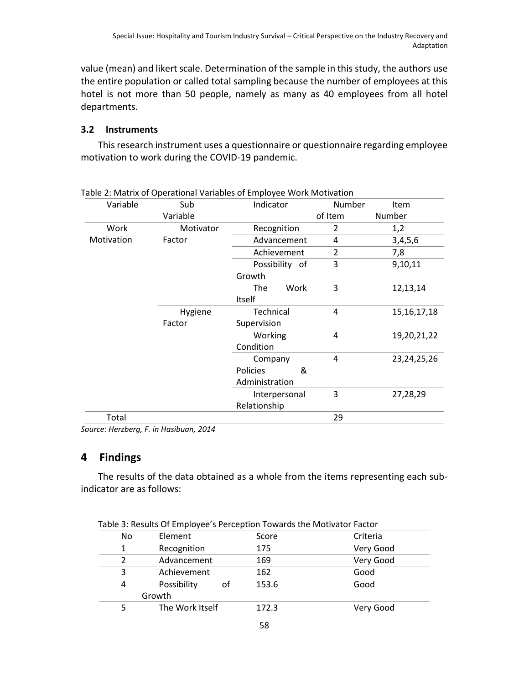value (mean) and likert scale. Determination of the sample in this study, the authors use the entire population or called total sampling because the number of employees at this hotel is not more than 50 people, namely as many as 40 employees from all hotel departments.

## **3.2 Instruments**

This research instrument uses a questionnaire or questionnaire regarding employee motivation to work during the COVID-19 pandemic.

| Variable             | Sub       | Indicator            | Number         | Item           |
|----------------------|-----------|----------------------|----------------|----------------|
|                      | Variable  |                      | of Item        | Number         |
| Work                 | Motivator | Recognition          | $\overline{2}$ | 1,2            |
| Motivation<br>Factor |           | Advancement          | 4              | 3,4,5,6        |
|                      |           | Achievement          | $\overline{2}$ | 7,8            |
|                      |           | Possibility of       | 3              | 9,10,11        |
|                      |           | Growth               |                |                |
|                      |           | The<br>Work          | 3              | 12,13,14       |
|                      |           | Itself               |                |                |
|                      | Hygiene   | Technical            | 4              | 15, 16, 17, 18 |
|                      | Factor    | Supervision          |                |                |
|                      |           | Working              | 4              | 19,20,21,22    |
|                      |           | Condition            |                |                |
|                      |           | Company              | 4              | 23,24,25,26    |
|                      |           | <b>Policies</b><br>& |                |                |
|                      |           | Administration       |                |                |
|                      |           | Interpersonal        | 3              | 27,28,29       |
|                      |           | Relationship         |                |                |
| Total                |           |                      | 29             |                |

Table 2: Matrix of Operational Variables of Employee Work Motivation

*Source: Herzberg, F. in Hasibuan, 2014*

## **4 Findings**

The results of the data obtained as a whole from the items representing each subindicator are as follows:

| Table 3: Results Of Employee's Perception Towards the Motivator Factor |    |                 |           |  |
|------------------------------------------------------------------------|----|-----------------|-----------|--|
| Element                                                                |    | Score           | Criteria  |  |
| Recognition                                                            |    | 175             | Very Good |  |
| Advancement                                                            |    | 169             | Very Good |  |
| Achievement                                                            |    | 162             | Good      |  |
| Possibility                                                            | οf | 153.6           | Good      |  |
| Growth                                                                 |    |                 |           |  |
|                                                                        |    | 172.3           | Very Good |  |
|                                                                        |    | The Work Itself |           |  |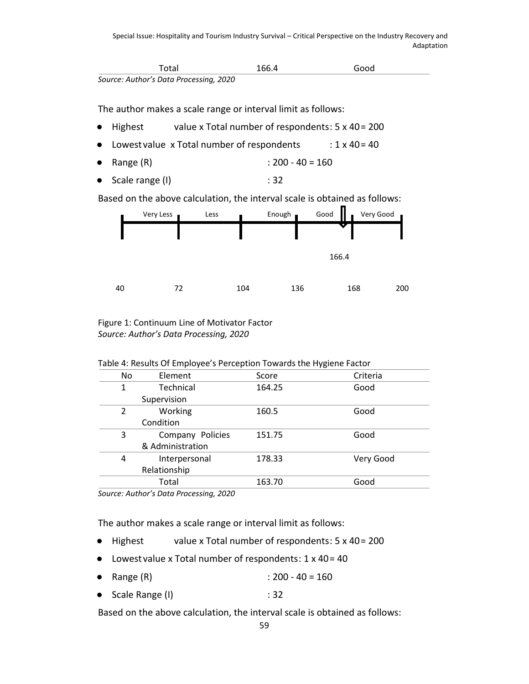| Total                                  | 166.4 | Good |
|----------------------------------------|-------|------|
| Source: Author's Data Processing, 2020 |       |      |

The author makes a scale range or interval limit as follows:

- Highest value x Total number of respondents: 5 x 40= 200
- Lowest value x Total number of respondents : 1 x 40 = 40
- Range (R) : 200 40 = 160
- Scale range (I) 32

Based on the above calculation, the interval scale is obtained as follows:



Figure 1: Continuum Line of Motivator Factor *Source: Author's Data Processing, 2020*

|                          | <u>avele il ilective ci milipic je ci el ception i cilial de tile i i Aleile i actor</u> |        |           |
|--------------------------|------------------------------------------------------------------------------------------|--------|-----------|
| No.                      | Element                                                                                  | Score  | Criteria  |
| 1                        | Technical                                                                                | 164.25 | Good      |
|                          | Supervision                                                                              |        |           |
| $\overline{\mathcal{L}}$ | Working                                                                                  | 160.5  | Good      |
|                          | Condition                                                                                |        |           |
| 3                        | Company Policies                                                                         | 151.75 | Good      |
|                          | & Administration                                                                         |        |           |
| 4                        | Interpersonal                                                                            | 178.33 | Very Good |
|                          | Relationship                                                                             |        |           |
|                          | Total                                                                                    | 163.70 | Good      |
|                          |                                                                                          |        |           |

*Source: Author's Data Processing, 2020*

The author makes a scale range or interval limit as follows:

- Highest value x Total number of respondents: 5 x 40= 200
- Lowest value x Total number of respondents:  $1 \times 40 = 40$
- Range (R) : 200 40 = 160
- Scale Range (I) : 32

Based on the above calculation, the interval scale is obtained as follows: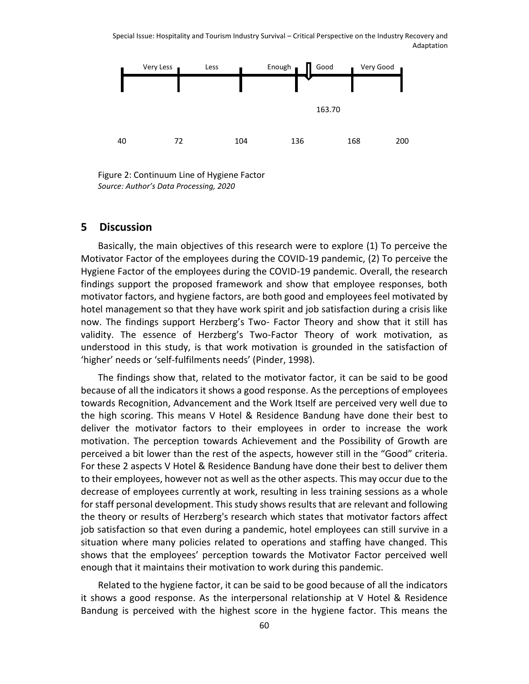Special Issue: Hospitality and Tourism Industry Survival – Critical Perspective on the Industry Recovery and Adaptation



Figure 2: Continuum Line of Hygiene Factor *Source: Author's Data Processing, 2020*

#### **5 Discussion**

Basically, the main objectives of this research were to explore (1) To perceive the Motivator Factor of the employees during the COVID-19 pandemic, (2) To perceive the Hygiene Factor of the employees during the COVID-19 pandemic. Overall, the research findings support the proposed framework and show that employee responses, both motivator factors, and hygiene factors, are both good and employees feel motivated by hotel management so that they have work spirit and job satisfaction during a crisis like now. The findings support Herzberg's Two- Factor Theory and show that it still has validity. The essence of Herzberg's Two-Factor Theory of work motivation, as understood in this study, is that work motivation is grounded in the satisfaction of 'higher' needs or 'self-fulfilments needs' (Pinder, 1998).

The findings show that, related to the motivator factor, it can be said to be good because of all the indicators it shows a good response. As the perceptions of employees towards Recognition, Advancement and the Work Itself are perceived very well due to the high scoring. This means V Hotel & Residence Bandung have done their best to deliver the motivator factors to their employees in order to increase the work motivation. The perception towards Achievement and the Possibility of Growth are perceived a bit lower than the rest of the aspects, however still in the "Good" criteria. For these 2 aspects V Hotel & Residence Bandung have done their best to deliver them to their employees, however not as well as the other aspects. This may occur due to the decrease of employees currently at work, resulting in less training sessions as a whole for staff personal development. This study shows results that are relevant and following the theory or results of Herzberg's research which states that motivator factors affect job satisfaction so that even during a pandemic, hotel employees can still survive in a situation where many policies related to operations and staffing have changed. This shows that the employees' perception towards the Motivator Factor perceived well enough that it maintains their motivation to work during this pandemic.

Related to the hygiene factor, it can be said to be good because of all the indicators it shows a good response. As the interpersonal relationship at V Hotel & Residence Bandung is perceived with the highest score in the hygiene factor. This means the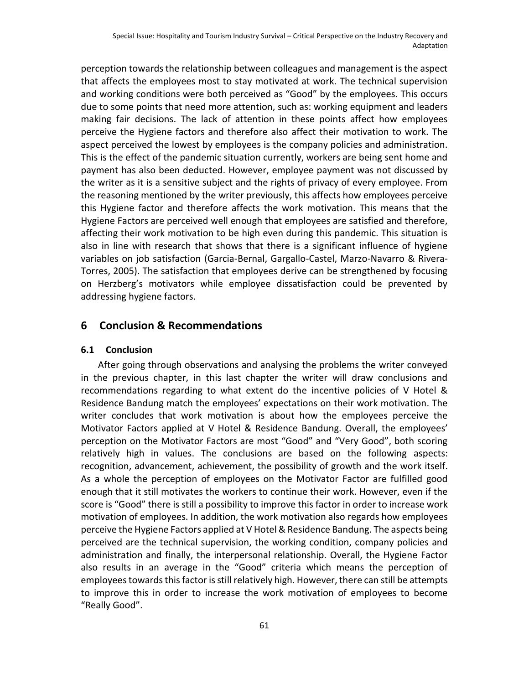perception towards the relationship between colleagues and management is the aspect that affects the employees most to stay motivated at work. The technical supervision and working conditions were both perceived as "Good" by the employees. This occurs due to some points that need more attention, such as: working equipment and leaders making fair decisions. The lack of attention in these points affect how employees perceive the Hygiene factors and therefore also affect their motivation to work. The aspect perceived the lowest by employees is the company policies and administration. This is the effect of the pandemic situation currently, workers are being sent home and payment has also been deducted. However, employee payment was not discussed by the writer as it is a sensitive subject and the rights of privacy of every employee. From the reasoning mentioned by the writer previously, this affects how employees perceive this Hygiene factor and therefore affects the work motivation. This means that the Hygiene Factors are perceived well enough that employees are satisfied and therefore, affecting their work motivation to be high even during this pandemic. This situation is also in line with research that shows that there is a significant influence of hygiene variables on job satisfaction (Garcia-Bernal, Gargallo-Castel, Marzo-Navarro & Rivera-Torres, 2005). The satisfaction that employees derive can be strengthened by focusing on Herzberg's motivators while employee dissatisfaction could be prevented by addressing hygiene factors.

## **6 Conclusion & Recommendations**

#### **6.1 Conclusion**

After going through observations and analysing the problems the writer conveyed in the previous chapter, in this last chapter the writer will draw conclusions and recommendations regarding to what extent do the incentive policies of V Hotel & Residence Bandung match the employees' expectations on their work motivation. The writer concludes that work motivation is about how the employees perceive the Motivator Factors applied at V Hotel & Residence Bandung. Overall, the employees' perception on the Motivator Factors are most "Good" and "Very Good", both scoring relatively high in values. The conclusions are based on the following aspects: recognition, advancement, achievement, the possibility of growth and the work itself. As a whole the perception of employees on the Motivator Factor are fulfilled good enough that it still motivates the workers to continue their work. However, even if the score is "Good" there is still a possibility to improve this factor in order to increase work motivation of employees. In addition, the work motivation also regards how employees perceive the Hygiene Factors applied at V Hotel & Residence Bandung. The aspects being perceived are the technical supervision, the working condition, company policies and administration and finally, the interpersonal relationship. Overall, the Hygiene Factor also results in an average in the "Good" criteria which means the perception of employees towards this factor is still relatively high. However, there can still be attempts to improve this in order to increase the work motivation of employees to become "Really Good".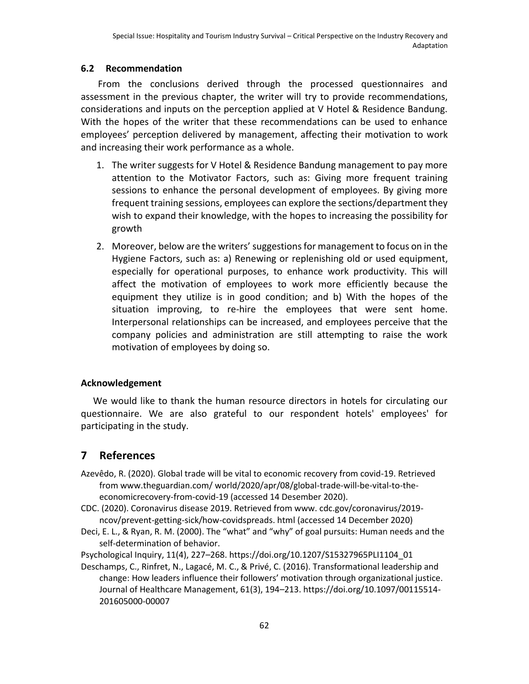## **6.2 Recommendation**

From the conclusions derived through the processed questionnaires and assessment in the previous chapter, the writer will try to provide recommendations, considerations and inputs on the perception applied at V Hotel & Residence Bandung. With the hopes of the writer that these recommendations can be used to enhance employees' perception delivered by management, affecting their motivation to work and increasing their work performance as a whole.

- 1. The writer suggests for V Hotel & Residence Bandung management to pay more attention to the Motivator Factors, such as: Giving more frequent training sessions to enhance the personal development of employees. By giving more frequent training sessions, employees can explore the sections/department they wish to expand their knowledge, with the hopes to increasing the possibility for growth
- 2. Moreover, below are the writers' suggestionsfor management to focus on in the Hygiene Factors, such as: a) Renewing or replenishing old or used equipment, especially for operational purposes, to enhance work productivity. This will affect the motivation of employees to work more efficiently because the equipment they utilize is in good condition; and b) With the hopes of the situation improving, to re-hire the employees that were sent home. Interpersonal relationships can be increased, and employees perceive that the company policies and administration are still attempting to raise the work motivation of employees by doing so.

## **Acknowledgement**

We would like to thank the human resource directors in hotels for circulating our questionnaire. We are also grateful to our respondent hotels' employees' for participating in the study.

# **7 References**

- Azevêdo, R. (2020). Global trade will be vital to economic recovery from covid-19. Retrieved from www.theguardian.com/ world/2020/apr/08/global-trade-will-be-vital-to-theeconomicrecovery-from-covid-19 (accessed 14 Desember 2020).
- CDC. (2020). Coronavirus disease 2019. Retrieved from www. cdc.gov/coronavirus/2019 ncov/prevent-getting-sick/how-covidspreads. html (accessed 14 December 2020)
- Deci, E. L., & Ryan, R. M. (2000). The "what" and "why" of goal pursuits: Human needs and the self-determination of behavior.

Psychological Inquiry, 11(4), 227–268. https://doi.org/10.1207/S15327965PLI1104\_01

Deschamps, C., Rinfret, N., Lagacé, M. C., & Privé, C. (2016). Transformational leadership and change: How leaders influence their followers' motivation through organizational justice. Journal of Healthcare Management, 61(3), 194–213. https://doi.org/10.1097/00115514- 201605000-00007